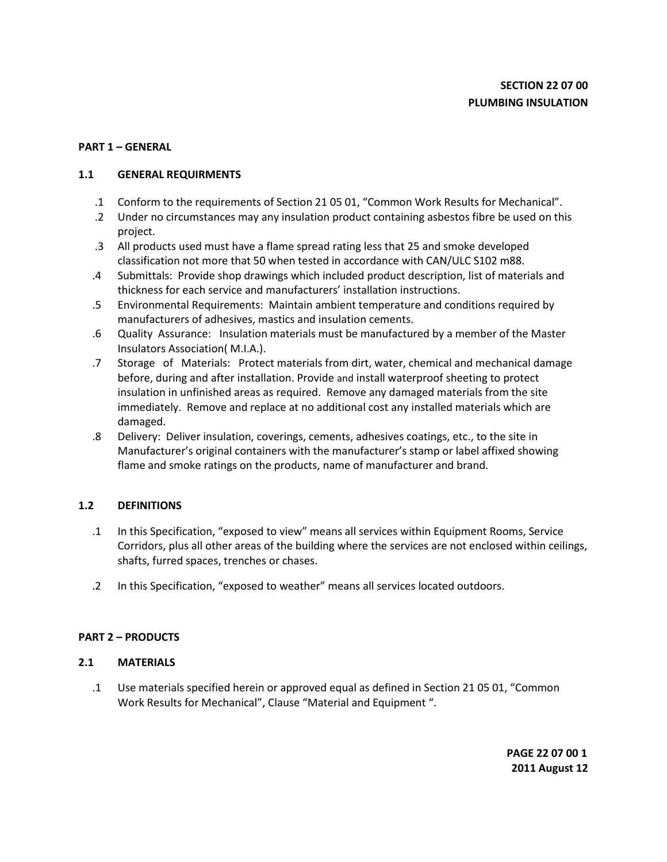# **PART 1 – GENERAL**

# **1.1 GENERAL REQUIRMENTS**

- .1 Conform to the requirements of Section 21 05 01, "Common Work Results for Mechanical".
- .2 Under no circumstances may any insulation product containing asbestos fibre be used on this project.
- .3 All products used must have a flame spread rating less that 25 and smoke developed classification not more that 50 when tested in accordance with CAN/ULC S102 m88.
- .4 Submittals: Provide shop drawings which included product description, list of materials and thickness for each service and manufacturers' installation instructions.
- .5 Environmental Requirements: Maintain ambient temperature and conditions required by manufacturers of adhesives, mastics and insulation cements.
- .6 Quality Assurance: Insulation materials must be manufactured by a member of the Master Insulators Association( M.I.A.).
- .7 Storage of Materials: Protect materials from dirt, water, chemical and mechanical damage before, during and after installation. Provide and install waterproof sheeting to protect insulation in unfinished areas as required. Remove any damaged materials from the site immediately. Remove and replace at no additional cost any installed materials which are damaged.
- .8 Delivery: Deliver insulation, coverings, cements, adhesives coatings, etc., to the site in Manufacturer's original containers with the manufacturer's stamp or label affixed showing flame and smoke ratings on the products, name of manufacturer and brand.

# **1.2 DEFINITIONS**

- .1 In this Specification, "exposed to view" means all services within Equipment Rooms, Service Corridors, plus all other areas of the building where the services are not enclosed within ceilings, shafts, furred spaces, trenches or chases.
- .2 In this Specification, "exposed to weather" means all services located outdoors.

# **PART 2 – PRODUCTS**

### **2.1 MATERIALS**

.1 Use materials specified herein or approved equal as defined in Section 21 05 01, "Common Work Results for Mechanical", Clause "Material and Equipment ".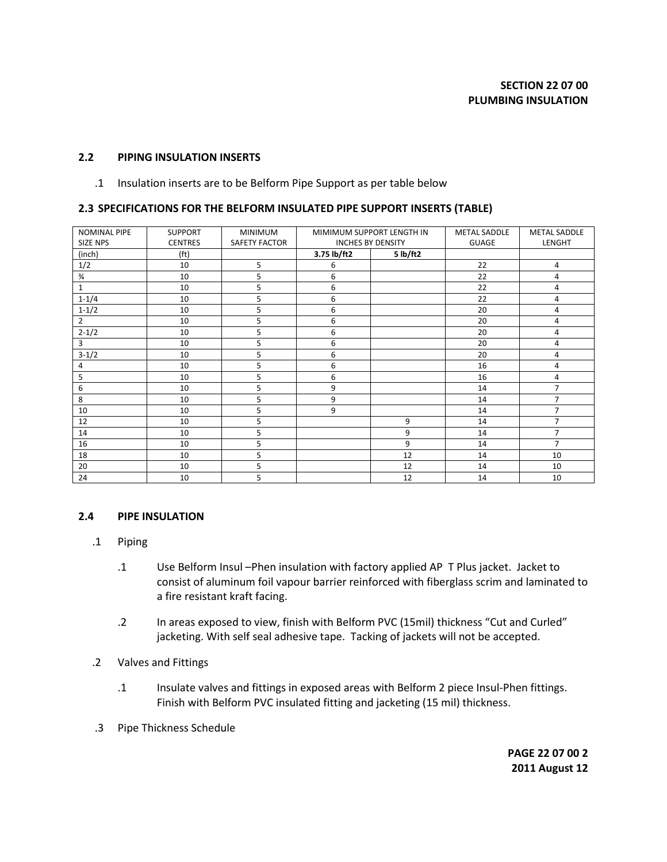#### **2.2 PIPING INSULATION INSERTS**

.1 Insulation inserts are to be Belform Pipe Support as per table below

#### **2.3 SPECIFICATIONS FOR THE BELFORM INSULATED PIPE SUPPORT INSERTS (TABLE)**

| <b>NOMINAL PIPE</b> | <b>SUPPORT</b>    | <b>MINIMUM</b>       | MIMIMUM SUPPORT LENGTH IN |          | <b>METAL SADDLE</b> | <b>METAL SADDLE</b> |
|---------------------|-------------------|----------------------|---------------------------|----------|---------------------|---------------------|
| SIZE NPS            | <b>CENTRES</b>    | <b>SAFETY FACTOR</b> | <b>INCHES BY DENSITY</b>  |          | <b>GUAGE</b>        | LENGHT              |
| (inch)              | (f <sup>t</sup> ) |                      | 3.75 lb/ft2               | 5 lb/ft2 |                     |                     |
| 1/2                 | 10                | 5                    | 6                         |          | 22                  | 4                   |
| $\frac{3}{4}$       | 10                | 5                    | 6                         |          | 22                  | 4                   |
| $\mathbf 1$         | 10                | 5                    | 6                         |          | 22                  | 4                   |
| $1 - 1/4$           | 10                | 5                    | 6                         |          | 22                  | 4                   |
| $1 - 1/2$           | 10                | 5                    | 6                         |          | 20                  | 4                   |
| $\overline{2}$      | 10                | 5                    | 6                         |          | 20                  | 4                   |
| $2 - 1/2$           | 10                | 5                    | 6                         |          | 20                  | 4                   |
| $\overline{3}$      | 10                | 5                    | 6                         |          | 20                  | 4                   |
| $3-1/2$             | 10                | 5                    | 6                         |          | 20                  | 4                   |
| 4                   | 10                | 5                    | 6                         |          | 16                  | 4                   |
| 5                   | 10                | 5                    | 6                         |          | 16                  | 4                   |
| 6                   | 10                | 5                    | 9                         |          | 14                  | 7                   |
| 8                   | 10                | 5                    | 9                         |          | 14                  | $\overline{7}$      |
| 10                  | 10                | 5                    | 9                         |          | 14                  | 7                   |
| 12                  | 10                | 5                    |                           | 9        | 14                  | $\overline{7}$      |
| 14                  | 10                | 5                    |                           | 9        | 14                  | 7                   |
| 16                  | 10                | 5                    |                           | 9        | 14                  | 7                   |
| 18                  | 10                | 5                    |                           | 12       | 14                  | 10                  |
| 20                  | 10                | 5                    |                           | 12       | 14                  | 10                  |
| 24                  | 10                | 5                    |                           | 12       | 14                  | 10                  |

#### **2.4 PIPE INSULATION**

- .1 Piping
	- .1 Use Belform Insul –Phen insulation with factory applied AP T Plus jacket. Jacket to consist of aluminum foil vapour barrier reinforced with fiberglass scrim and laminated to a fire resistant kraft facing.
	- .2 In areas exposed to view, finish with Belform PVC (15mil) thickness "Cut and Curled" jacketing. With self seal adhesive tape. Tacking of jackets will not be accepted.
- .2 Valves and Fittings
	- .1 Insulate valves and fittings in exposed areas with Belform 2 piece Insul-Phen fittings. Finish with Belform PVC insulated fitting and jacketing (15 mil) thickness.
- .3 Pipe Thickness Schedule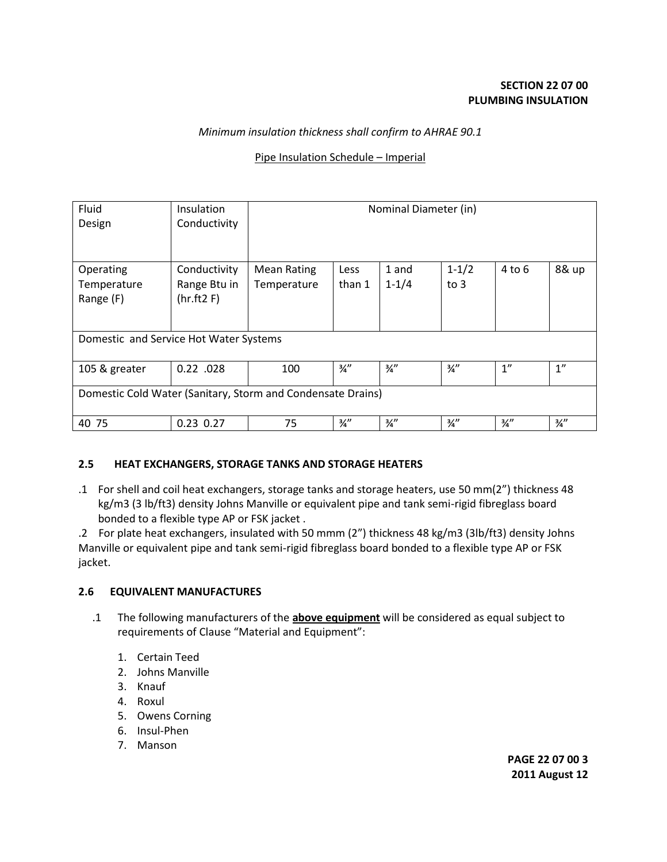# *Minimum insulation thickness shall confirm to AHRAE 90.1*

# Pipe Insulation Schedule – Imperial

| Fluid<br>Design                                             | Insulation<br>Conductivity | Nominal Diameter (in) |                 |                 |                 |                 |                 |  |  |  |  |
|-------------------------------------------------------------|----------------------------|-----------------------|-----------------|-----------------|-----------------|-----------------|-----------------|--|--|--|--|
|                                                             |                            |                       |                 |                 |                 |                 |                 |  |  |  |  |
|                                                             |                            |                       |                 |                 |                 |                 |                 |  |  |  |  |
| Operating                                                   | Conductivity               | <b>Mean Rating</b>    | <b>Less</b>     | 1 and           | $1 - 1/2$       | $4$ to 6        | 8& up           |  |  |  |  |
| Temperature                                                 | Range Btu in               | Temperature           | than 1          | $1 - 1/4$       | to $3$          |                 |                 |  |  |  |  |
| Range (F)                                                   | (hr.ft2 F)                 |                       |                 |                 |                 |                 |                 |  |  |  |  |
|                                                             |                            |                       |                 |                 |                 |                 |                 |  |  |  |  |
|                                                             |                            |                       |                 |                 |                 |                 |                 |  |  |  |  |
| Domestic and Service Hot Water Systems                      |                            |                       |                 |                 |                 |                 |                 |  |  |  |  |
|                                                             |                            |                       |                 |                 |                 |                 |                 |  |  |  |  |
| 105 & greater                                               | $0.22$ .028                | 100                   | $\frac{3}{4}$ " | $\frac{3}{4}$ " | $\frac{3}{4}$ " | 1''             | 1 <sup>''</sup> |  |  |  |  |
|                                                             |                            |                       |                 |                 |                 |                 |                 |  |  |  |  |
| Domestic Cold Water (Sanitary, Storm and Condensate Drains) |                            |                       |                 |                 |                 |                 |                 |  |  |  |  |
|                                                             |                            |                       |                 |                 |                 |                 |                 |  |  |  |  |
| 40 75                                                       | $0.23$ 0.27                | 75                    | $\frac{3}{4}$ " | $\frac{3}{4}$ " | 3⁄4″            | $\frac{3}{4}$ " | $\frac{3}{4}$ " |  |  |  |  |

### **2.5 HEAT EXCHANGERS, STORAGE TANKS AND STORAGE HEATERS**

.1 For shell and coil heat exchangers, storage tanks and storage heaters, use 50 mm(2") thickness 48 kg/m3 (3 lb/ft3) density Johns Manville or equivalent pipe and tank semi-rigid fibreglass board bonded to a flexible type AP or FSK jacket .

.2 For plate heat exchangers, insulated with 50 mmm (2") thickness 48 kg/m3 (3lb/ft3) density Johns Manville or equivalent pipe and tank semi-rigid fibreglass board bonded to a flexible type AP or FSK jacket.

### **2.6 EQUIVALENT MANUFACTURES**

- .1 The following manufacturers of the **above equipment** will be considered as equal subject to requirements of Clause "Material and Equipment":
	- 1. Certain Teed
	- 2. Johns Manville
	- 3. Knauf
	- 4. Roxul
	- 5. Owens Corning
	- 6. Insul-Phen
	- 7. Manson

**PAGE 22 07 00 3 2011 August 12**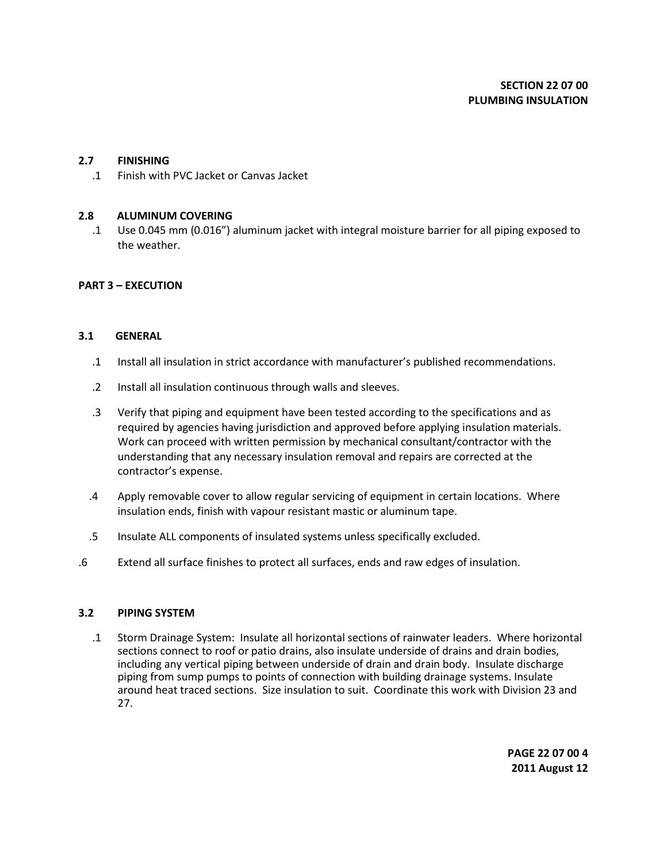### **2.7 FINISHING**

.1 Finish with PVC Jacket or Canvas Jacket

#### **2.8 ALUMINUM COVERING**

.1 Use 0.045 mm (0.016") aluminum jacket with integral moisture barrier for all piping exposed to the weather.

#### **PART 3 – EXECUTION**

#### **3.1 GENERAL**

- .1 Install all insulation in strict accordance with manufacturer's published recommendations.
- .2 Install all insulation continuous through walls and sleeves.
- .3 Verify that piping and equipment have been tested according to the specifications and as required by agencies having jurisdiction and approved before applying insulation materials. Work can proceed with written permission by mechanical consultant/contractor with the understanding that any necessary insulation removal and repairs are corrected at the contractor's expense.
- .4 Apply removable cover to allow regular servicing of equipment in certain locations. Where insulation ends, finish with vapour resistant mastic or aluminum tape.
- .5 Insulate ALL components of insulated systems unless specifically excluded.
- .6 Extend all surface finishes to protect all surfaces, ends and raw edges of insulation.

#### **3.2 PIPING SYSTEM**

.1 Storm Drainage System: Insulate all horizontal sections of rainwater leaders. Where horizontal sections connect to roof or patio drains, also insulate underside of drains and drain bodies, including any vertical piping between underside of drain and drain body. Insulate discharge piping from sump pumps to points of connection with building drainage systems. Insulate around heat traced sections. Size insulation to suit. Coordinate this work with Division 23 and 27.

> **PAGE 22 07 00 4 2011 August 12**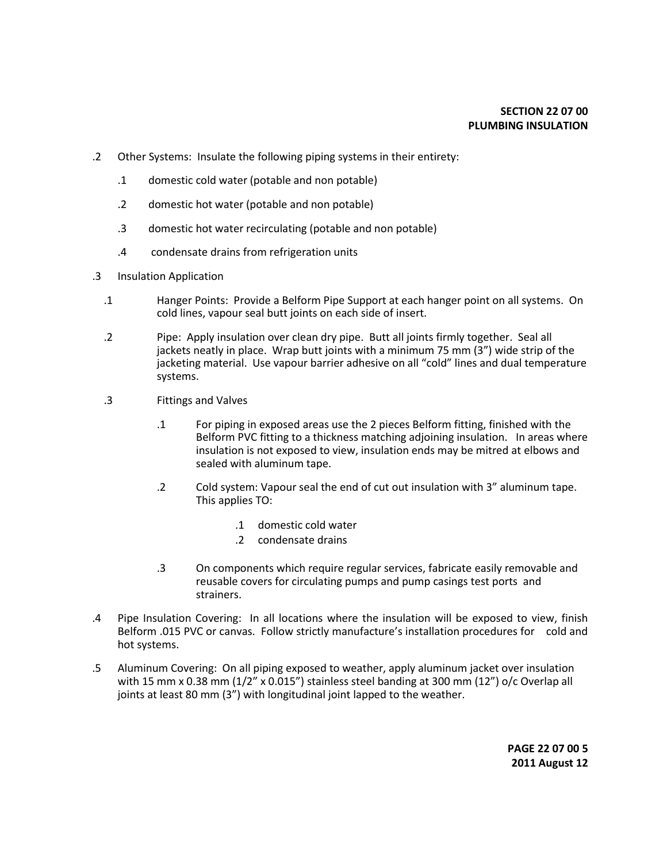- .2 Other Systems: Insulate the following piping systems in their entirety:
	- .1 domestic cold water (potable and non potable)
	- .2 domestic hot water (potable and non potable)
	- .3 domestic hot water recirculating (potable and non potable)
	- .4 condensate drains from refrigeration units
- .3 Insulation Application
	- .1 Hanger Points: Provide a Belform Pipe Support at each hanger point on all systems. On cold lines, vapour seal butt joints on each side of insert.
	- .2 Pipe: Apply insulation over clean dry pipe. Butt all joints firmly together. Seal all jackets neatly in place. Wrap butt joints with a minimum 75 mm (3") wide strip of the jacketing material. Use vapour barrier adhesive on all "cold" lines and dual temperature systems.
	- .3 Fittings and Valves
		- .1 For piping in exposed areas use the 2 pieces Belform fitting, finished with the Belform PVC fitting to a thickness matching adjoining insulation. In areas where insulation is not exposed to view, insulation ends may be mitred at elbows and sealed with aluminum tape.
		- .2 Cold system: Vapour seal the end of cut out insulation with 3" aluminum tape. This applies TO:
			- .1 domestic cold water
			- .2 condensate drains
		- .3 On components which require regular services, fabricate easily removable and reusable covers for circulating pumps and pump casings test ports and strainers.
- .4 Pipe Insulation Covering: In all locations where the insulation will be exposed to view, finish Belform .015 PVC or canvas. Follow strictly manufacture's installation procedures for cold and hot systems.
- .5 Aluminum Covering: On all piping exposed to weather, apply aluminum jacket over insulation with 15 mm x 0.38 mm (1/2" x 0.015") stainless steel banding at 300 mm (12") o/c Overlap all joints at least 80 mm (3") with longitudinal joint lapped to the weather.

**PAGE 22 07 00 5 2011 August 12**